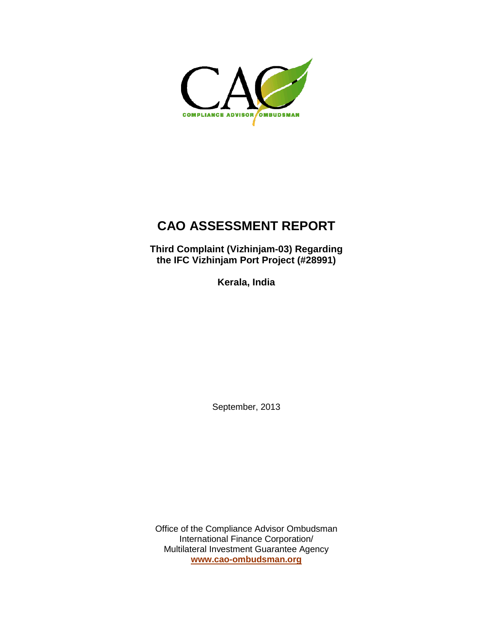

# **CAO ASSESSMENT REPORT**

**Third Complaint (Vizhinjam-03) Regarding the IFC Vizhinjam Port Project (#28991)**

**Kerala, India**

September, 2013

Office of the Compliance Advisor Ombudsman International Finance Corporation/ Multilateral Investment Guarantee Agency **[www.cao-ombudsman.org](http://www.cao-ombudsman.org/)**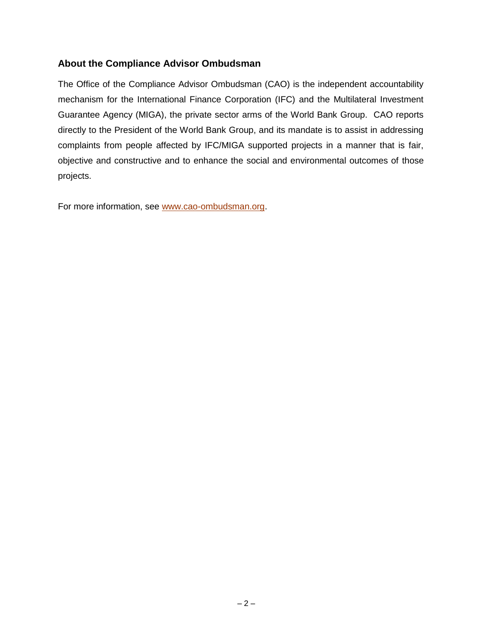# **About the Compliance Advisor Ombudsman**

The Office of the Compliance Advisor Ombudsman (CAO) is the independent accountability mechanism for the International Finance Corporation (IFC) and the Multilateral Investment Guarantee Agency (MIGA), the private sector arms of the World Bank Group. CAO reports directly to the President of the World Bank Group, and its mandate is to assist in addressing complaints from people affected by IFC/MIGA supported projects in a manner that is fair, objective and constructive and to enhance the social and environmental outcomes of those projects.

For more information, see [www.cao-ombudsman.org.](http://www.cao-ombudsman.org/)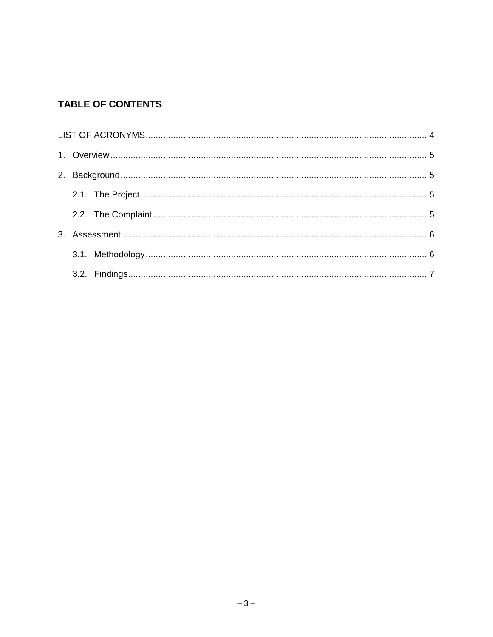# **TABLE OF CONTENTS**

<span id="page-2-0"></span>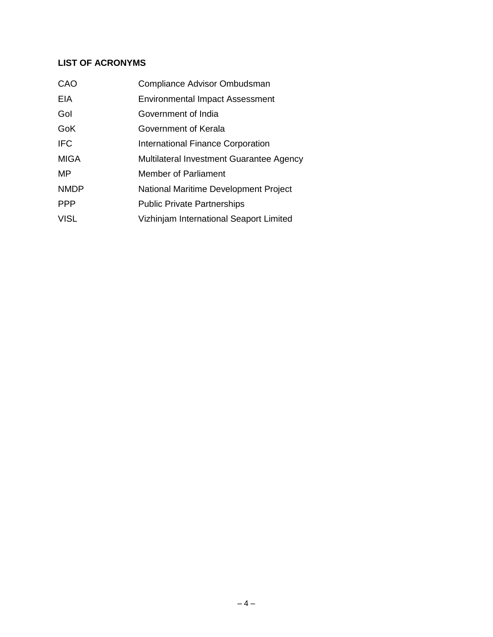# **LIST OF ACRONYMS**

| CAO         | Compliance Advisor Ombudsman             |
|-------------|------------------------------------------|
| EIA         | <b>Environmental Impact Assessment</b>   |
| Gol         | Government of India                      |
| GoK         | Government of Kerala                     |
| <b>IFC</b>  | International Finance Corporation        |
| <b>MIGA</b> | Multilateral Investment Guarantee Agency |
| MP          | <b>Member of Parliament</b>              |
| <b>NMDP</b> | National Maritime Development Project    |
| <b>PPP</b>  | <b>Public Private Partnerships</b>       |
| <b>VISL</b> | Vizhinjam International Seaport Limited  |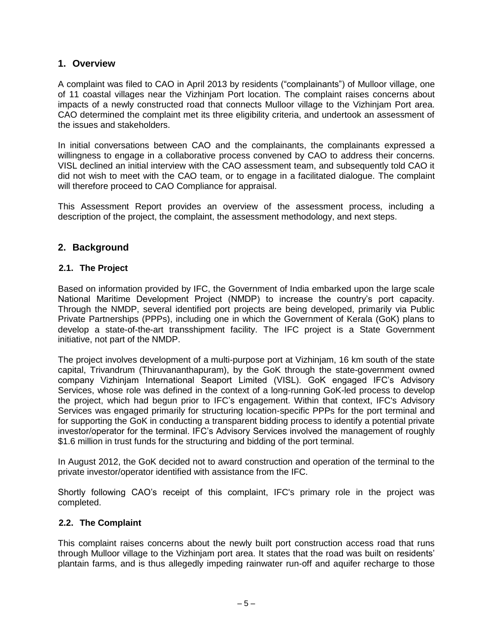# <span id="page-4-0"></span>**1. Overview**

A complaint was filed to CAO in April 2013 by residents ("complainants") of Mulloor village, one of 11 coastal villages near the Vizhinjam Port location. The complaint raises concerns about impacts of a newly constructed road that connects Mulloor village to the Vizhinjam Port area. CAO determined the complaint met its three eligibility criteria, and undertook an assessment of the issues and stakeholders.

In initial conversations between CAO and the complainants, the complainants expressed a willingness to engage in a collaborative process convened by CAO to address their concerns. VISL declined an initial interview with the CAO assessment team, and subsequently told CAO it did not wish to meet with the CAO team, or to engage in a facilitated dialogue. The complaint will therefore proceed to CAO Compliance for appraisal.

This Assessment Report provides an overview of the assessment process, including a description of the project, the complaint, the assessment methodology, and next steps.

# <span id="page-4-1"></span>**2. Background**

### <span id="page-4-2"></span>**2.1. The Project**

Based on information provided by IFC, the Government of India embarked upon the large scale National Maritime Development Project (NMDP) to increase the country's port capacity. Through the NMDP, several identified port projects are being developed, primarily via Public Private Partnerships (PPPs), including one in which the Government of Kerala (GoK) plans to develop a state-of-the-art transshipment facility. The IFC project is a State Government initiative, not part of the NMDP.

The project involves development of a multi-purpose port at Vizhinjam, 16 km south of the state capital, Trivandrum (Thiruvananthapuram), by the GoK through the state-government owned company Vizhinjam International Seaport Limited (VISL). GoK engaged IFC's Advisory Services, whose role was defined in the context of a long-running GoK-led process to develop the project, which had begun prior to IFC's engagement. Within that context, IFC's Advisory Services was engaged primarily for structuring location-specific PPPs for the port terminal and for supporting the GoK in conducting a transparent bidding process to identify a potential private investor/operator for the terminal. IFC's Advisory Services involved the management of roughly \$1.6 million in trust funds for the structuring and bidding of the port terminal.

In August 2012, the GoK decided not to award construction and operation of the terminal to the private investor/operator identified with assistance from the IFC.

Shortly following CAO's receipt of this complaint, IFC's primary role in the project was completed.

#### <span id="page-4-3"></span>**2.2. The Complaint**

This complaint raises concerns about the newly built port construction access road that runs through Mulloor village to the Vizhinjam port area. It states that the road was built on residents' plantain farms, and is thus allegedly impeding rainwater run-off and aquifer recharge to those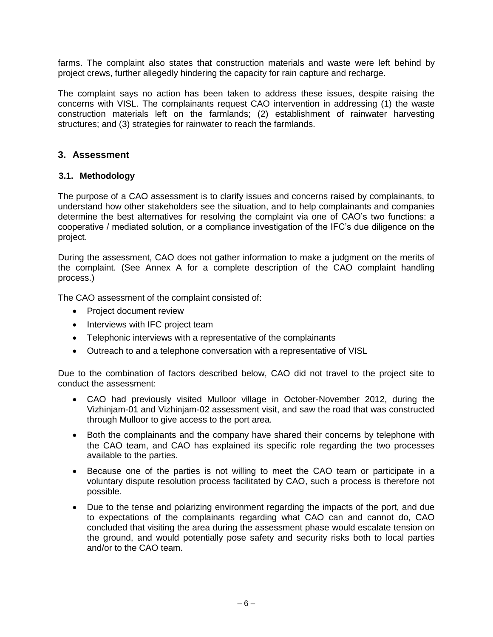farms. The complaint also states that construction materials and waste were left behind by project crews, further allegedly hindering the capacity for rain capture and recharge.

The complaint says no action has been taken to address these issues, despite raising the concerns with VISL. The complainants request CAO intervention in addressing (1) the waste construction materials left on the farmlands; (2) establishment of rainwater harvesting structures; and (3) strategies for rainwater to reach the farmlands.

# <span id="page-5-0"></span>**3. Assessment**

### <span id="page-5-1"></span>**3.1. Methodology**

The purpose of a CAO assessment is to clarify issues and concerns raised by complainants, to understand how other stakeholders see the situation, and to help complainants and companies determine the best alternatives for resolving the complaint via one of CAO's two functions: a cooperative / mediated solution, or a compliance investigation of the IFC's due diligence on the project.

During the assessment, CAO does not gather information to make a judgment on the merits of the complaint. (See Annex A for a complete description of the CAO complaint handling process.)

The CAO assessment of the complaint consisted of:

- Project document review
- Interviews with IFC project team
- Telephonic interviews with a representative of the complainants
- Outreach to and a telephone conversation with a representative of VISL

Due to the combination of factors described below, CAO did not travel to the project site to conduct the assessment:

- CAO had previously visited Mulloor village in October-November 2012, during the Vizhinjam-01 and Vizhinjam-02 assessment visit, and saw the road that was constructed through Mulloor to give access to the port area.
- Both the complainants and the company have shared their concerns by telephone with the CAO team, and CAO has explained its specific role regarding the two processes available to the parties.
- Because one of the parties is not willing to meet the CAO team or participate in a voluntary dispute resolution process facilitated by CAO, such a process is therefore not possible.
- Due to the tense and polarizing environment regarding the impacts of the port, and due to expectations of the complainants regarding what CAO can and cannot do, CAO concluded that visiting the area during the assessment phase would escalate tension on the ground, and would potentially pose safety and security risks both to local parties and/or to the CAO team.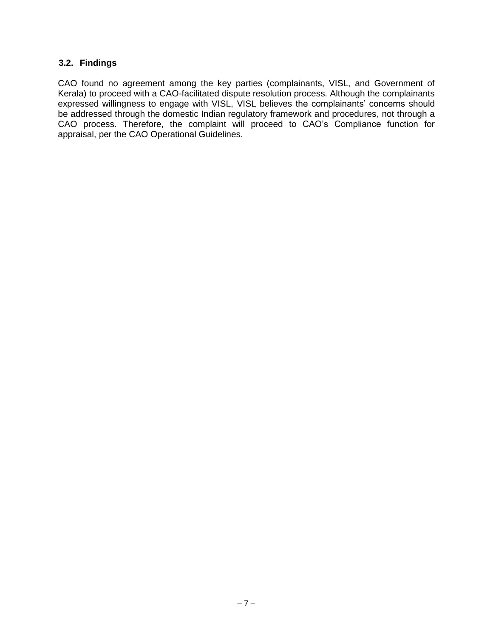#### **3.2. Findings**

CAO found no agreement among the key parties (complainants, VISL, and Government of Kerala) to proceed with a CAO-facilitated dispute resolution process. Although the complainants expressed willingness to engage with VISL, VISL believes the complainants' concerns should be addressed through the domestic Indian regulatory framework and procedures, not through a CAO process. Therefore, the complaint will proceed to CAO's Compliance function for appraisal, per the CAO Operational Guidelines.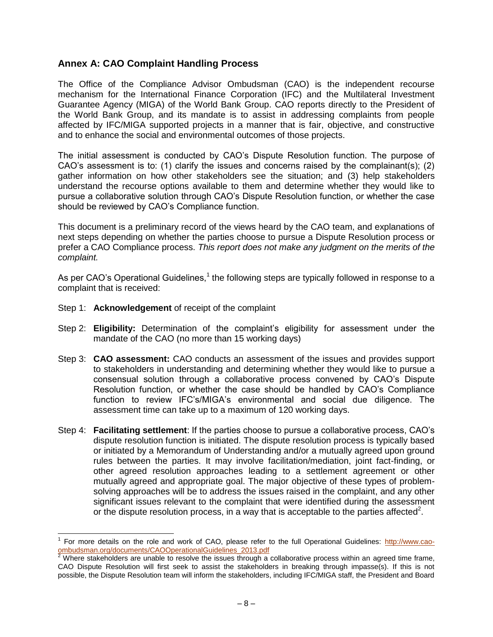# **Annex A: CAO Complaint Handling Process**

The Office of the Compliance Advisor Ombudsman (CAO) is the independent recourse mechanism for the International Finance Corporation (IFC) and the Multilateral Investment Guarantee Agency (MIGA) of the World Bank Group. CAO reports directly to the President of the World Bank Group, and its mandate is to assist in addressing complaints from people affected by IFC/MIGA supported projects in a manner that is fair, objective, and constructive and to enhance the social and environmental outcomes of those projects.

The initial assessment is conducted by CAO's Dispute Resolution function. The purpose of CAO's assessment is to: (1) clarify the issues and concerns raised by the complainant(s); (2) gather information on how other stakeholders see the situation; and (3) help stakeholders understand the recourse options available to them and determine whether they would like to pursue a collaborative solution through CAO's Dispute Resolution function, or whether the case should be reviewed by CAO's Compliance function.

This document is a preliminary record of the views heard by the CAO team, and explanations of next steps depending on whether the parties choose to pursue a Dispute Resolution process or prefer a CAO Compliance process. *This report does not make any judgment on the merits of the complaint.*

As per CAO's Operational Guidelines,<sup>1</sup> the following steps are typically followed in response to a complaint that is received:

- Step 1: **Acknowledgement** of receipt of the complaint
- Step 2: **Eligibility:** Determination of the complaint's eligibility for assessment under the mandate of the CAO (no more than 15 working days)
- Step 3: **CAO assessment:** CAO conducts an assessment of the issues and provides support to stakeholders in understanding and determining whether they would like to pursue a consensual solution through a collaborative process convened by CAO's Dispute Resolution function, or whether the case should be handled by CAO's Compliance function to review IFC's/MIGA's environmental and social due diligence. The assessment time can take up to a maximum of 120 working days.
- Step 4: **Facilitating settlement**: If the parties choose to pursue a collaborative process, CAO's dispute resolution function is initiated. The dispute resolution process is typically based or initiated by a Memorandum of Understanding and/or a mutually agreed upon ground rules between the parties. It may involve facilitation/mediation, joint fact-finding, or other agreed resolution approaches leading to a settlement agreement or other mutually agreed and appropriate goal. The major objective of these types of problemsolving approaches will be to address the issues raised in the complaint, and any other significant issues relevant to the complaint that were identified during the assessment or the dispute resolution process, in a way that is acceptable to the parties affected<sup>2</sup>.

 $\overline{a}$ 1 For more details on the role and work of CAO, please refer to the full Operational Guidelines: [http://www.cao](http://www.cao-ombudsman.org/documents/CAOOperationalGuidelines_2013.pdf)[ombudsman.org/documents/CAOOperationalGuidelines\\_2013.pdf](http://www.cao-ombudsman.org/documents/CAOOperationalGuidelines_2013.pdf)

 $2$  Where stakeholders are unable to resolve the issues through a collaborative process within an agreed time frame, CAO Dispute Resolution will first seek to assist the stakeholders in breaking through impasse(s). If this is not possible, the Dispute Resolution team will inform the stakeholders, including IFC/MIGA staff, the President and Board